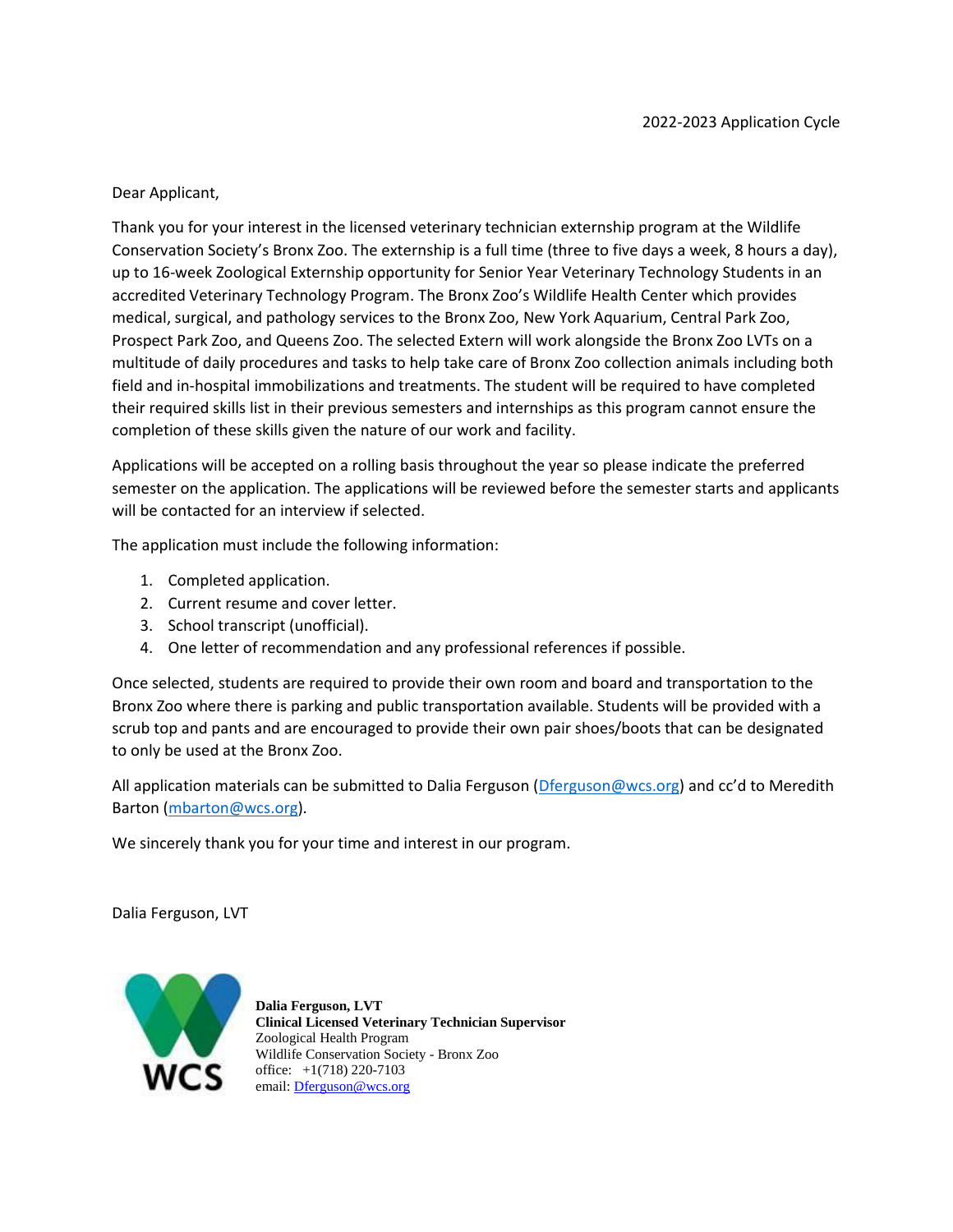# Dear Applicant,

Thank you for your interest in the licensed veterinary technician externship program at the Wildlife Conservation Society's Bronx Zoo. The externship is a full time (three to five days a week, 8 hours a day), up to 16-week Zoological Externship opportunity for Senior Year Veterinary Technology Students in an accredited Veterinary Technology Program. The Bronx Zoo's Wildlife Health Center which provides medical, surgical, and pathology services to the Bronx Zoo, New York Aquarium, Central Park Zoo, Prospect Park Zoo, and Queens Zoo. The selected Extern will work alongside the Bronx Zoo LVTs on a multitude of daily procedures and tasks to help take care of Bronx Zoo collection animals including both field and in-hospital immobilizations and treatments. The student will be required to have completed their required skills list in their previous semesters and internships as this program cannot ensure the completion of these skills given the nature of our work and facility.

Applications will be accepted on a rolling basis throughout the year so please indicate the preferred semester on the application. The applications will be reviewed before the semester starts and applicants will be contacted for an interview if selected.

The application must include the following information:

- 1. Completed application.
- 2. Current resume and cover letter.
- 3. School transcript (unofficial).
- 4. One letter of recommendation and any professional references if possible.

Once selected, students are required to provide their own room and board and transportation to the Bronx Zoo where there is parking and public transportation available. Students will be provided with a scrub top and pants and are encouraged to provide their own pair shoes/boots that can be designated to only be used at the Bronx Zoo.

All application materials can be submitted to Dalia Ferguson [\(Dferguson@wcs.org](mailto:Dferguson@wcs.org)) and cc'd to Meredith Barton [\(mbarton@wcs.org\)](mailto:mbarton@wcs.org).

We sincerely thank you for your time and interest in our program.

Dalia Ferguson, LVT



**Dalia Ferguson, LVT Clinical Licensed Veterinary Technician Supervisor** Zoological Health Program Wildlife Conservation Society - Bronx Zoo office: +1(718) 220-7103 email: [Dferguson@wcs.org](http://Dferguson@wcs.org)